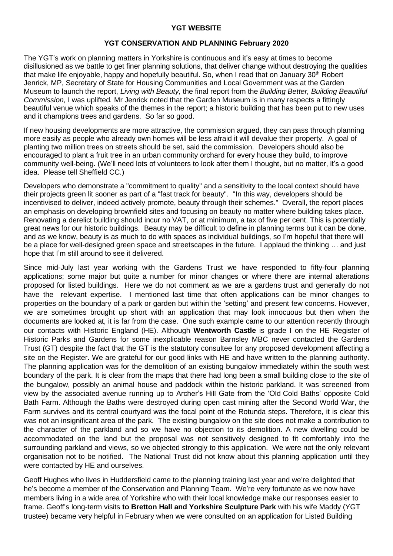## **YGT WEBSITE**

## **YGT CONSERVATION AND PLANNING February 2020**

The YGT's work on planning matters in Yorkshire is continuous and it's easy at times to become disillusioned as we battle to get finer planning solutions, that deliver change without destroying the qualities that make life enjoyable, happy and hopefully beautiful. So, when I read that on January 30<sup>th</sup> Robert Jenrick, MP, Secretary of State for Housing Communities and Local Government was at the Garden Museum to launch the report, *Living with Beauty,* the final report from the *Building Better, Building Beautiful Commission,* I was uplifted*.* Mr Jenrick noted that the Garden Museum is in many respects a fittingly beautiful venue which speaks of the themes in the report; a historic building that has been put to new uses and it champions trees and gardens. So far so good.

If new housing developments are more attractive, the commission argued, they can pass through planning more easily as people who already own homes will be less afraid it will devalue their property. A goal of planting two million trees on streets should be set, said the commission. Developers should also be encouraged to plant a fruit tree in an urban community orchard for every house they build, to improve community well-being. (We'll need lots of volunteers to look after them I thought, but no matter, it's a good idea. Please tell Sheffield CC.)

Developers who demonstrate a "commitment to quality" and a sensitivity to the local context should have their projects green lit sooner as part of a "fast track for beauty". "In this way, developers should be incentivised to deliver, indeed actively promote, beauty through their schemes." Overall, the report places an emphasis on developing brownfield sites and focusing on beauty no matter where building takes place. Renovating a derelict building should incur no VAT, or at minimum, a tax of five per cent. This is potentially great news for our historic buildings. Beauty may be difficult to define in planning terms but it can be done, and as we know, beauty is as much to do with spaces as individual buildings, so I'm hopeful that there will be a place for well-designed green space and streetscapes in the future. I applaud the thinking … and just hope that I'm still around to see it delivered.

Since mid-July last year working with the Gardens Trust we have responded to fifty-four planning applications; some major but quite a number for minor changes or where there are internal alterations proposed for listed buildings. Here we do not comment as we are a gardens trust and generally do not have the relevant expertise. I mentioned last time that often applications can be minor changes to properties on the boundary of a park or garden but within the 'setting' and present few concerns. However, we are sometimes brought up short with an application that may look innocuous but then when the documents are looked at, it is far from the case. One such example came to our attention recently through our contacts with Historic England (HE). Although **Wentworth Castle** is grade I on the HE Register of Historic Parks and Gardens for some inexplicable reason Barnsley MBC never contacted the Gardens Trust (GT) despite the fact that the GT is the statutory consultee for any proposed development affecting a site on the Register. We are grateful for our good links with HE and have written to the planning authority. The planning application was for the demolition of an existing bungalow immediately within the south west boundary of the park. It is clear from the maps that there had long been a small building close to the site of the bungalow, possibly an animal house and paddock within the historic parkland. It was screened from view by the associated avenue running up to Archer's Hill Gate from the 'Old Cold Baths' opposite Cold Bath Farm. Although the Baths were destroyed during open cast mining after the Second World War, the Farm survives and its central courtyard was the focal point of the Rotunda steps. Therefore, it is clear this was not an insignificant area of the park. The existing bungalow on the site does not make a contribution to the character of the parkland and so we have no objection to its demolition. A new dwelling could be accommodated on the land but the proposal was not sensitively designed to fit comfortably into the surrounding parkland and views, so we objected strongly to this application. We were not the only relevant organisation not to be notified. The National Trust did not know about this planning application until they were contacted by HE and ourselves.

Geoff Hughes who lives in Huddersfield came to the planning training last year and we're delighted that he's become a member of the Conservation and Planning Team. We're very fortunate as we now have members living in a wide area of Yorkshire who with their local knowledge make our responses easier to frame. Geoff's long-term visits **to Bretton Hall and Yorkshire Sculpture Park** with his wife Maddy (YGT trustee) became very helpful in February when we were consulted on an application for Listed Building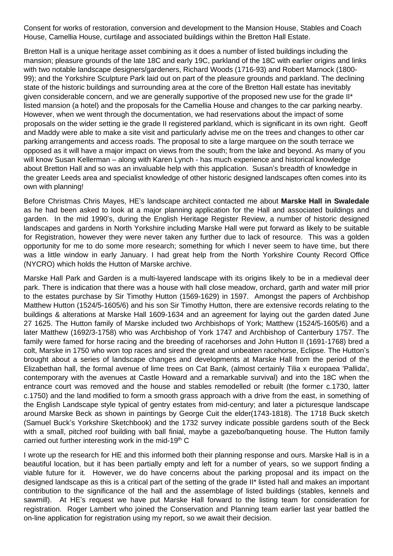Consent for works of restoration, conversion and development to the Mansion House, Stables and Coach House, Camellia House, curtilage and associated buildings within the Bretton Hall Estate.

Bretton Hall is a unique heritage asset combining as it does a number of listed buildings including the mansion; pleasure grounds of the late 18C and early 19C, parkland of the 18C with earlier origins and links with two notable landscape designers/gardeners, Richard Woods (1716-93) and Robert Marnock (1800- 99); and the Yorkshire Sculpture Park laid out on part of the pleasure grounds and parkland. The declining state of the historic buildings and surrounding area at the core of the Bretton Hall estate has inevitably given considerable concern, and we are generally supportive of the proposed new use for the grade II\* listed mansion (a hotel) and the proposals for the Camellia House and changes to the car parking nearby. However, when we went through the documentation, we had reservations about the impact of some proposals on the wider setting ie the grade II registered parkland, which is significant in its own right. Geoff and Maddy were able to make a site visit and particularly advise me on the trees and changes to other car parking arrangements and access roads. The proposal to site a large marquee on the south terrace we opposed as it will have a major impact on views from the south; from the lake and beyond. As many of you will know Susan Kellerman – along with Karen Lynch - has much experience and historical knowledge about Bretton Hall and so was an invaluable help with this application. Susan's breadth of knowledge in the greater Leeds area and specialist knowledge of other historic designed landscapes often comes into its own with planning!

Before Christmas Chris Mayes, HE's landscape architect contacted me about **Marske Hall in Swaledale** as he had been asked to look at a major planning application for the Hall and associated buildings and garden. In the mid 1990's, during the English Heritage Register Review, a number of historic designed landscapes and gardens in North Yorkshire including Marske Hall were put forward as likely to be suitable for Registration, however they were never taken any further due to lack of resource. This was a golden opportunity for me to do some more research; something for which I never seem to have time, but there was a little window in early January. I had great help from the North Yorkshire County Record Office (NYCRO) which holds the Hutton of Marske archive.

Marske Hall Park and Garden is a multi-layered landscape with its origins likely to be in a medieval deer park. There is indication that there was a house with hall close meadow, orchard, garth and water mill prior to the estates purchase by Sir Timothy Hutton (1569-1629) in 1597. Amongst the papers of Archbishop Matthew Hutton (1524/5-1605/6) and his son Sir Timothy Hutton, there are extensive records relating to the buildings & alterations at Marske Hall 1609-1634 and an agreement for laying out the garden dated June 27 1625. The Hutton family of Marske included two Archbishops of York; Matthew (1524/5-1605/6) and a later Matthew (1692/3-1758) who was Archbishop of York 1747 and Archbishop of Canterbury 1757. The family were famed for horse racing and the breeding of racehorses and John Hutton II (1691-1768) bred a colt, Marske in 1750 who won top races and sired the great and unbeaten racehorse, Eclipse. The Hutton's brought about a series of landscape changes and developments at Marske Hall from the period of the Elizabethan hall, the formal avenue of lime trees on Cat Bank, (almost certainly Tilia x europaea 'Pallida', contemporary with the avenues at Castle Howard and a remarkable survival) and into the 18C when the entrance court was removed and the house and stables remodelled or rebuilt (the former c.1730, latter c.1750) and the land modified to form a smooth grass approach with a drive from the east, in something of the English Landscape style typical of gentry estates from mid-century; and later a picturesque landscape around Marske Beck as shown in paintings by George Cuit the elder(1743-1818). The 1718 Buck sketch (Samuel Buck's Yorkshire Sketchbook) and the 1732 survey indicate possible gardens south of the Beck with a small, pitched roof building with ball finial, maybe a gazebo/banqueting house. The Hutton family carried out further interesting work in the mid-19th C

I wrote up the research for HE and this informed both their planning response and ours. Marske Hall is in a beautiful location, but it has been partially empty and left for a number of years, so we support finding a viable future for it. However, we do have concerns about the parking proposal and its impact on the designed landscape as this is a critical part of the setting of the grade II\* listed hall and makes an important contribution to the significance of the hall and the assemblage of listed buildings (stables, kennels and sawmill). At HE's request we have put Marske Hall forward to the listing team for consideration for registration. Roger Lambert who joined the Conservation and Planning team earlier last year battled the on-line application for registration using my report, so we await their decision.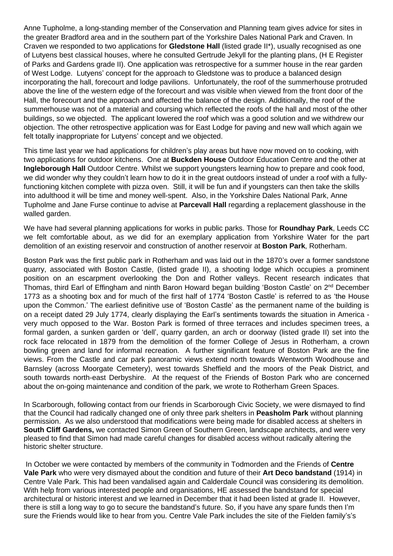Anne Tupholme, a long-standing member of the Conservation and Planning team gives advice for sites in the greater Bradford area and in the southern part of the Yorkshire Dales National Park and Craven. In Craven we responded to two applications for **Gledstone Hall** (listed grade II\*), usually recognised as one of Lutyens best classical houses, where he consulted Gertrude Jekyll for the planting plans, (H E Register of Parks and Gardens grade II). One application was retrospective for a summer house in the rear garden of West Lodge. Lutyens' concept for the approach to Gledstone was to produce a balanced design incorporating the hall, forecourt and lodge pavilions. Unfortunately, the roof of the summerhouse protruded above the line of the western edge of the forecourt and was visible when viewed from the front door of the Hall, the forecourt and the approach and affected the balance of the design. Additionally, the roof of the summerhouse was not of a material and coursing which reflected the roofs of the hall and most of the other buildings, so we objected. The applicant lowered the roof which was a good solution and we withdrew our objection. The other retrospective application was for East Lodge for paving and new wall which again we felt totally inappropriate for Lutyens' concept and we objected.

This time last year we had applications for children's play areas but have now moved on to cooking, with two applications for outdoor kitchens. One at **Buckden House** Outdoor Education Centre and the other at **Ingleborough Hall** Outdoor Centre. Whilst we support youngsters learning how to prepare and cook food, we did wonder why they couldn't learn how to do it in the great outdoors instead of under a roof with a fullyfunctioning kitchen complete with pizza oven. Still, it will be fun and if youngsters can then take the skills into adulthood it will be time and money well-spent. Also, in the Yorkshire Dales National Park, Anne Tupholme and Jane Furse continue to advise at **Parcevall Hall** regarding a replacement glasshouse in the walled garden.

We have had several planning applications for works in public parks. Those for **Roundhay Park**, Leeds CC we felt comfortable about, as we did for an exemplary application from Yorkshire Water for the part demolition of an existing reservoir and construction of another reservoir at **Boston Park**, Rotherham.

Boston Park was the first public park in Rotherham and was laid out in the 1870's over a former sandstone quarry, associated with Boston Castle, (listed grade II), a shooting lodge which occupies a prominent position on an escarpment overlooking the Don and Rother valleys. Recent research indicates that Thomas, third Earl of Effingham and ninth Baron Howard began building 'Boston Castle' on 2<sup>nd</sup> December 1773 as a shooting box and for much of the first half of 1774 'Boston Castle' is referred to as 'the House upon the Common.' The earliest definitive use of 'Boston Castle' as the permanent name of the building is on a receipt dated 29 July 1774, clearly displaying the Earl's sentiments towards the situation in America very much opposed to the War. Boston Park is formed of three terraces and includes specimen trees, a formal garden, a sunken garden or 'dell', quarry garden, an arch or doorway (listed grade II) set into the rock face relocated in 1879 from the demolition of the former College of Jesus in Rotherham, a crown bowling green and land for informal recreation. A further significant feature of Boston Park are the fine views. From the Castle and car park panoramic views extend north towards Wentworth Woodhouse and Barnsley (across Moorgate Cemetery), west towards Sheffield and the moors of the Peak District, and south towards north-east Derbyshire. At the request of the Friends of Boston Park who are concerned about the on-going maintenance and condition of the park, we wrote to Rotherham Green Spaces.

In Scarborough, following contact from our friends in Scarborough Civic Society, we were dismayed to find that the Council had radically changed one of only three park shelters in **Peasholm Park** without planning permission. As we also understood that modifications were being made for disabled access at shelters in **South Cliff Gardens,** we contacted Simon Green of Southern Green, landscape architects, and were very pleased to find that Simon had made careful changes for disabled access without radically altering the historic shelter structure.

In October we were contacted by members of the community in Todmorden and the Friends of **Centre Vale Park** who were very dismayed about the condition and future of their **Art Deco bandstand** (1914) in Centre Vale Park. This had been vandalised again and Calderdale Council was considering its demolition. With help from various interested people and organisations, HE assessed the bandstand for special architectural or historic interest and we learned in December that it had been listed at grade II. However, there is still a long way to go to secure the bandstand's future. So, if you have any spare funds then I'm sure the Friends would like to hear from you. Centre Vale Park includes the site of the Fielden family's's